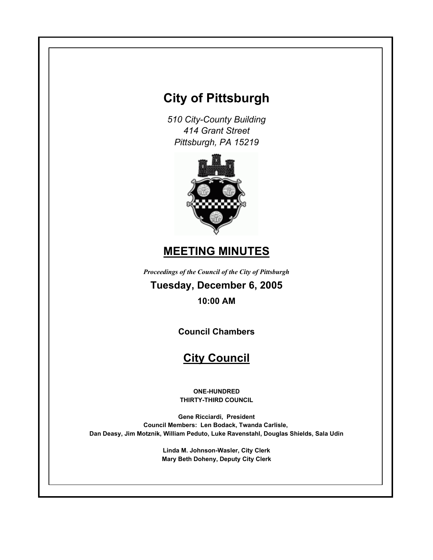# **City of Pittsburgh**

*510 City-County Building 414 Grant Street Pittsburgh, PA 15219*



# **MEETING MINUTES**

*Proceedings of the Council of the City of Pittsburgh*

**Tuesday, December 6, 2005 10:00 AM**

**Council Chambers**

# **City Council**

**ONE-HUNDRED THIRTY-THIRD COUNCIL**

**Gene Ricciardi, President Council Members: Len Bodack, Twanda Carlisle, Dan Deasy, Jim Motznik, William Peduto, Luke Ravenstahl, Douglas Shields, Sala Udin**

> **Linda M. Johnson-Wasler, City Clerk Mary Beth Doheny, Deputy City Clerk**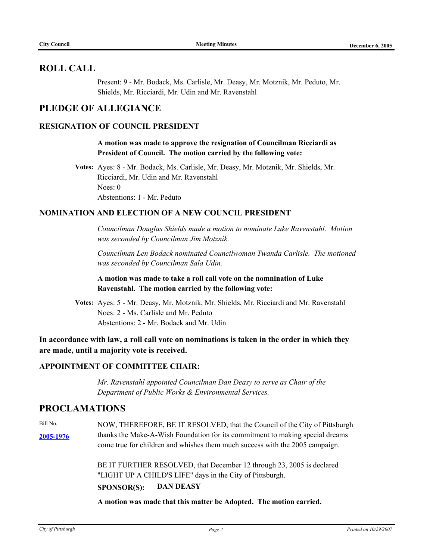# **ROLL CALL**

Present: 9 - Mr. Bodack, Ms. Carlisle, Mr. Deasy, Mr. Motznik, Mr. Peduto, Mr. Shields, Mr. Ricciardi, Mr. Udin and Mr. Ravenstahl

# **PLEDGE OF ALLEGIANCE**

# **RESIGNATION OF COUNCIL PRESIDENT**

**A motion was made to approve the resignation of Councilman Ricciardi as President of Council. The motion carried by the following vote:**

**Votes:** Ayes: 8 - Mr. Bodack, Ms. Carlisle, Mr. Deasy, Mr. Motznik, Mr. Shields, Mr. Ricciardi, Mr. Udin and Mr. Ravenstahl Noes: 0 Abstentions: 1 - Mr. Peduto

### **NOMINATION AND ELECTION OF A NEW COUNCIL PRESIDENT**

*Councilman Douglas Shields made a motion to nominate Luke Ravenstahl. Motion was seconded by Councilman Jim Motznik.*

*Councilman Len Bodack nominated Councilwoman Twanda Carlisle. The motioned was seconded by Councilman Sala Udin.*

**A motion was made to take a roll call vote on the nomnination of Luke Ravenstahl. The motion carried by the following vote:**

**Votes:** Ayes: 5 - Mr. Deasy, Mr. Motznik, Mr. Shields, Mr. Ricciardi and Mr. Ravenstahl Noes: 2 - Ms. Carlisle and Mr. Peduto Abstentions: 2 - Mr. Bodack and Mr. Udin

**In accordance with law, a roll call vote on nominations is taken in the order in which they are made, until a majority vote is received.**

# **APPOINTMENT OF COMMITTEE CHAIR:**

*Mr. Ravenstahl appointed Councilman Dan Deasy to serve as Chair of the Department of Public Works & Environmental Services.*

# **PROCLAMATIONS**

Bill No. **[2005-1976](http://legistar.city.pittsburgh.pa.us/detailreport//matter.aspx?key=8058)** thanks the Make-A-Wish Foundation for its commitment to making special dreams NOW, THEREFORE, BE IT RESOLVED, that the Council of the City of Pittsburgh come true for children and whishes them much success with the 2005 campaign.

> BE IT FURTHER RESOLVED, that December 12 through 23, 2005 is declared "LIGHT UP A CHILD'S LIFE" days in the City of Pittsburgh.

# **SPONSOR(S): DAN DEASY**

**A motion was made that this matter be Adopted. The motion carried.**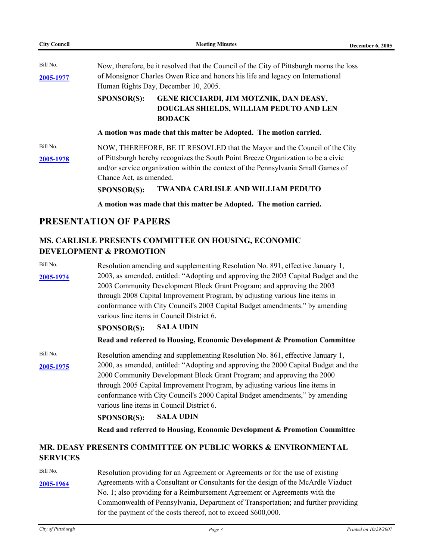| <b>City Council</b> | <b>Meeting Minutes</b>                                                                                                                                                 | December 6, 2005 |
|---------------------|------------------------------------------------------------------------------------------------------------------------------------------------------------------------|------------------|
| Bill No.            | Now, therefore, be it resolved that the Council of the City of Pittsburgh morns the loss                                                                               |                  |
| 2005-1977           | of Monsignor Charles Owen Rice and honors his life and legacy on International                                                                                         |                  |
|                     | Human Rights Day, December 10, 2005.                                                                                                                                   |                  |
|                     | <b>SPONSOR(S):</b><br>GENE RICCIARDI, JIM MOTZNIK, DAN DEASY,<br>DOUGLAS SHIELDS, WILLIAM PEDUTO AND LEN<br><b>BODACK</b>                                              |                  |
|                     | A motion was made that this matter be Adopted. The motion carried.                                                                                                     |                  |
| Bill No.            | NOW, THEREFORE, BE IT RESOVLED that the Mayor and the Council of the City                                                                                              |                  |
| 2005-1978           | of Pittsburgh hereby recognizes the South Point Breeze Organization to be a civic<br>and/or service organization within the context of the Pennsylvania Small Games of |                  |
|                     | Chance Act, as amended.<br><b>TWANDA CARLISLE AND WILLIAM PEDUTO</b><br><b>SPONSOR(S):</b>                                                                             |                  |
|                     | A motion was made that this matter be Adopted. The motion carried.                                                                                                     |                  |

# **MS. CARLISLE PRESENTS COMMITTEE ON HOUSING, ECONOMIC DEVELOPMENT & PROMOTION**

Bill No. **[2005-1974](http://legistar.city.pittsburgh.pa.us/detailreport//matter.aspx?key=8055)** 2003, as amended, entitled: "Adopting and approving the 2003 Capital Budget and the Resolution amending and supplementing Resolution No. 891, effective January 1, 2003 Community Development Block Grant Program; and approving the 2003 through 2008 Capital Improvement Program, by adjusting various line items in conformance with City Council's 2003 Capital Budget amendments." by amending various line items in Council District 6.

### **SPONSOR(S): SALA UDIN**

# **Read and referred to Housing, Economic Development & Promotion Committee**

Bill No. **[2005-1975](http://legistar.city.pittsburgh.pa.us/detailreport//matter.aspx?key=8056)** 2000, as amended, entitled: "Adopting and approving the 2000 Capital Budget and the Resolution amending and supplementing Resolution No. 861, effective January 1, 2000 Community Development Block Grant Program; and approving the 2000 through 2005 Capital Improvement Program, by adjusting various line items in conformance with City Council's 2000 Capital Budget amendments," by amending various line items in Council District 6.

# **SPONSOR(S): SALA UDIN**

# **Read and referred to Housing, Economic Development & Promotion Committee**

# **MR. DEASY PRESENTS COMMITTEE ON PUBLIC WORKS & ENVIRONMENTAL SERVICES**

Bill No. **[2005-1964](http://legistar.city.pittsburgh.pa.us/detailreport//matter.aspx?key=8045)** Resolution providing for an Agreement or Agreements or for the use of existing Agreements with a Consultant or Consultants for the design of the McArdle Viaduct No. 1; also providing for a Reimbursement Agreement or Agreements with the Commonwealth of Pennsylvania, Department of Transportation; and further providing for the payment of the costs thereof, not to exceed \$600,000.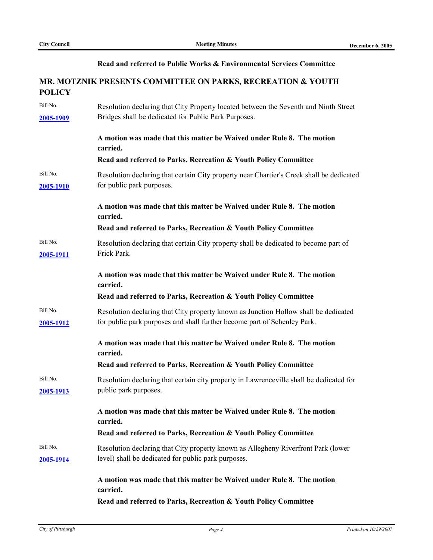### **Read and referred to Public Works & Environmental Services Committee**

# **MR. MOTZNIK PRESENTS COMMITTEE ON PARKS, RECREATION & YOUTH POLICY**

| Bill No.<br>2005-1909 | Resolution declaring that City Property located between the Seventh and Ninth Street<br>Bridges shall be dedicated for Public Park Purposes.                    |
|-----------------------|-----------------------------------------------------------------------------------------------------------------------------------------------------------------|
|                       | A motion was made that this matter be Waived under Rule 8. The motion<br>carried.                                                                               |
|                       | Read and referred to Parks, Recreation & Youth Policy Committee                                                                                                 |
| Bill No.<br>2005-1910 | Resolution declaring that certain City property near Chartier's Creek shall be dedicated<br>for public park purposes.                                           |
|                       | A motion was made that this matter be Waived under Rule 8. The motion<br>carried.                                                                               |
|                       | Read and referred to Parks, Recreation & Youth Policy Committee                                                                                                 |
| Bill No.<br>2005-1911 | Resolution declaring that certain City property shall be dedicated to become part of<br>Frick Park.                                                             |
|                       | A motion was made that this matter be Waived under Rule 8. The motion<br>carried.                                                                               |
|                       | Read and referred to Parks, Recreation & Youth Policy Committee                                                                                                 |
| Bill No.<br>2005-1912 | Resolution declaring that City property known as Junction Hollow shall be dedicated<br>for public park purposes and shall further become part of Schenley Park. |
|                       | A motion was made that this matter be Waived under Rule 8. The motion<br>carried.                                                                               |
|                       | Read and referred to Parks, Recreation & Youth Policy Committee                                                                                                 |
| Bill No.<br>2005-1913 | Resolution declaring that certain city property in Lawrenceville shall be dedicated for<br>public park purposes.                                                |
|                       | A motion was made that this matter be Waived under Rule 8. The motion<br>carried.                                                                               |
|                       | Read and referred to Parks, Recreation & Youth Policy Committee                                                                                                 |
| Bill No.<br>2005-1914 | Resolution declaring that City property known as Allegheny Riverfront Park (lower<br>level) shall be dedicated for public park purposes.                        |
|                       | A motion was made that this matter be Waived under Rule 8. The motion<br>carried.                                                                               |
|                       | Read and referred to Parks, Recreation & Youth Policy Committee                                                                                                 |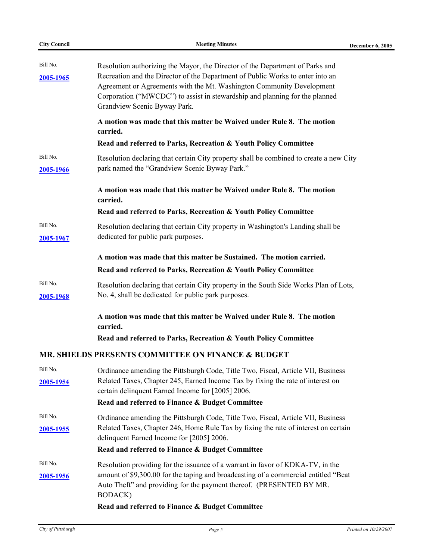| <b>City Council</b> | <b>Meeting Minutes</b>                                                                                                                                      | <b>December 6, 2005</b> |
|---------------------|-------------------------------------------------------------------------------------------------------------------------------------------------------------|-------------------------|
| Bill No.            |                                                                                                                                                             |                         |
|                     | Resolution authorizing the Mayor, the Director of the Department of Parks and                                                                               |                         |
| 2005-1965           | Recreation and the Director of the Department of Public Works to enter into an<br>Agreement or Agreements with the Mt. Washington Community Development     |                         |
|                     | Corporation ("MWCDC") to assist in stewardship and planning for the planned                                                                                 |                         |
|                     | Grandview Scenic Byway Park.                                                                                                                                |                         |
|                     | A motion was made that this matter be Waived under Rule 8. The motion<br>carried.                                                                           |                         |
|                     | Read and referred to Parks, Recreation & Youth Policy Committee                                                                                             |                         |
| Bill No.            | Resolution declaring that certain City property shall be combined to create a new City                                                                      |                         |
| 2005-1966           | park named the "Grandview Scenic Byway Park."                                                                                                               |                         |
|                     | A motion was made that this matter be Waived under Rule 8. The motion                                                                                       |                         |
|                     | carried.<br>Read and referred to Parks, Recreation & Youth Policy Committee                                                                                 |                         |
| Bill No.            |                                                                                                                                                             |                         |
|                     | Resolution declaring that certain City property in Washington's Landing shall be<br>dedicated for public park purposes.                                     |                         |
| 2005-1967           |                                                                                                                                                             |                         |
|                     | A motion was made that this matter be Sustained. The motion carried.                                                                                        |                         |
|                     | Read and referred to Parks, Recreation & Youth Policy Committee                                                                                             |                         |
| Bill No.            | Resolution declaring that certain City property in the South Side Works Plan of Lots,                                                                       |                         |
| 2005-1968           | No. 4, shall be dedicated for public park purposes.                                                                                                         |                         |
|                     | A motion was made that this matter be Waived under Rule 8. The motion<br>carried.                                                                           |                         |
|                     | Read and referred to Parks, Recreation & Youth Policy Committee                                                                                             |                         |
|                     | MR. SHIELDS PRESENTS COMMITTEE ON FINANCE & BUDGET                                                                                                          |                         |
| Bill No.            | Ordinance amending the Pittsburgh Code, Title Two, Fiscal, Article VII, Business                                                                            |                         |
| 2005-1954           | Related Taxes, Chapter 245, Earned Income Tax by fixing the rate of interest on                                                                             |                         |
|                     | certain delinquent Earned Income for [2005] 2006.                                                                                                           |                         |
|                     | Read and referred to Finance & Budget Committee                                                                                                             |                         |
| Bill No.            | Ordinance amending the Pittsburgh Code, Title Two, Fiscal, Article VII, Business                                                                            |                         |
| 2005-1955           | Related Taxes, Chapter 246, Home Rule Tax by fixing the rate of interest on certain                                                                         |                         |
|                     | delinquent Earned Income for [2005] 2006.                                                                                                                   |                         |
|                     | Read and referred to Finance & Budget Committee                                                                                                             |                         |
| Bill No.            | Resolution providing for the issuance of a warrant in favor of KDKA-TV, in the                                                                              |                         |
| 2005-1956           | amount of \$9,300.00 for the taping and broadcasting of a commercial entitled "Beat<br>Auto Theft" and providing for the payment thereof. (PRESENTED BY MR. |                         |
|                     | BODACK)                                                                                                                                                     |                         |
|                     | Read and referred to Finance & Budget Committee                                                                                                             |                         |
|                     |                                                                                                                                                             |                         |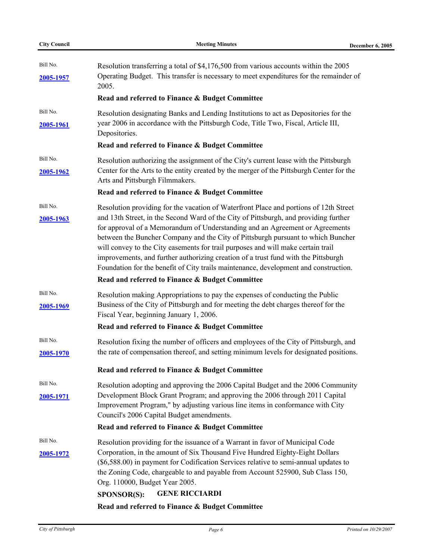| <b>City Council</b>   | <b>Meeting Minutes</b>                                                                                                                                                                                                                                                                                                                                                                                                                                                                                                                                                                                                                                                 | December 6, 2005 |
|-----------------------|------------------------------------------------------------------------------------------------------------------------------------------------------------------------------------------------------------------------------------------------------------------------------------------------------------------------------------------------------------------------------------------------------------------------------------------------------------------------------------------------------------------------------------------------------------------------------------------------------------------------------------------------------------------------|------------------|
| Bill No.<br>2005-1957 | Resolution transferring a total of \$4,176,500 from various accounts within the 2005<br>Operating Budget. This transfer is necessary to meet expenditures for the remainder of<br>2005.                                                                                                                                                                                                                                                                                                                                                                                                                                                                                |                  |
|                       | Read and referred to Finance & Budget Committee                                                                                                                                                                                                                                                                                                                                                                                                                                                                                                                                                                                                                        |                  |
| Bill No.<br>2005-1961 | Resolution designating Banks and Lending Institutions to act as Depositories for the<br>year 2006 in accordance with the Pittsburgh Code, Title Two, Fiscal, Article III,<br>Depositories.                                                                                                                                                                                                                                                                                                                                                                                                                                                                             |                  |
|                       | Read and referred to Finance & Budget Committee                                                                                                                                                                                                                                                                                                                                                                                                                                                                                                                                                                                                                        |                  |
| Bill No.<br>2005-1962 | Resolution authorizing the assignment of the City's current lease with the Pittsburgh<br>Center for the Arts to the entity created by the merger of the Pittsburgh Center for the<br>Arts and Pittsburgh Filmmakers.                                                                                                                                                                                                                                                                                                                                                                                                                                                   |                  |
|                       | Read and referred to Finance & Budget Committee                                                                                                                                                                                                                                                                                                                                                                                                                                                                                                                                                                                                                        |                  |
| Bill No.<br>2005-1963 | Resolution providing for the vacation of Waterfront Place and portions of 12th Street<br>and 13th Street, in the Second Ward of the City of Pittsburgh, and providing further<br>for approval of a Memorandum of Understanding and an Agreement or Agreements<br>between the Buncher Company and the City of Pittsburgh pursuant to which Buncher<br>will convey to the City easements for trail purposes and will make certain trail<br>improvements, and further authorizing creation of a trust fund with the Pittsburgh<br>Foundation for the benefit of City trails maintenance, development and construction.<br>Read and referred to Finance & Budget Committee |                  |
| Bill No.              | Resolution making Appropriations to pay the expenses of conducting the Public                                                                                                                                                                                                                                                                                                                                                                                                                                                                                                                                                                                          |                  |
| 2005-1969             | Business of the City of Pittsburgh and for meeting the debt charges thereof for the<br>Fiscal Year, beginning January 1, 2006.<br>Read and referred to Finance & Budget Committee                                                                                                                                                                                                                                                                                                                                                                                                                                                                                      |                  |
| Bill No.              | Resolution fixing the number of officers and employees of the City of Pittsburgh, and                                                                                                                                                                                                                                                                                                                                                                                                                                                                                                                                                                                  |                  |
| 2005-1970             | the rate of compensation thereof, and setting minimum levels for designated positions.                                                                                                                                                                                                                                                                                                                                                                                                                                                                                                                                                                                 |                  |
|                       | Read and referred to Finance & Budget Committee                                                                                                                                                                                                                                                                                                                                                                                                                                                                                                                                                                                                                        |                  |
| Bill No.<br>2005-1971 | Resolution adopting and approving the 2006 Capital Budget and the 2006 Community<br>Development Block Grant Program; and approving the 2006 through 2011 Capital<br>Improvement Program," by adjusting various line items in conformance with City<br>Council's 2006 Capital Budget amendments.                                                                                                                                                                                                                                                                                                                                                                        |                  |
|                       | Read and referred to Finance & Budget Committee                                                                                                                                                                                                                                                                                                                                                                                                                                                                                                                                                                                                                        |                  |
| Bill No.<br>2005-1972 | Resolution providing for the issuance of a Warrant in favor of Municipal Code<br>Corporation, in the amount of Six Thousand Five Hundred Eighty-Eight Dollars<br>(\$6,588.00) in payment for Codification Services relative to semi-annual updates to<br>the Zoning Code, chargeable to and payable from Account 525900, Sub Class 150,<br>Org. 110000, Budget Year 2005.<br><b>GENE RICCIARDI</b><br><b>SPONSOR(S):</b>                                                                                                                                                                                                                                               |                  |
|                       | Read and referred to Finance & Budget Committee                                                                                                                                                                                                                                                                                                                                                                                                                                                                                                                                                                                                                        |                  |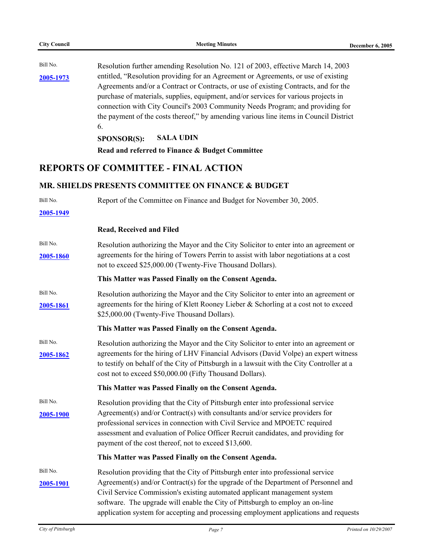Bill No. **[2005-1973](http://legistar.city.pittsburgh.pa.us/detailreport//matter.aspx?key=8054)** entitled, "Resolution providing for an Agreement or Agreements, or use of existing Resolution further amending Resolution No. 121 of 2003, effective March 14, 2003 Agreements and/or a Contract or Contracts, or use of existing Contracts, and for the purchase of materials, supplies, equipment, and/or services for various projects in connection with City Council's 2003 Community Needs Program; and providing for the payment of the costs thereof," by amending various line items in Council District 6.

**SPONSOR(S): SALA UDIN**

**Read and referred to Finance & Budget Committee**

# **REPORTS OF COMMITTEE - FINAL ACTION**

# **MR. SHIELDS PRESENTS COMMITTEE ON FINANCE & BUDGET**

| Bill No.  | Report of the Committee on Finance and Budget for November 30, 2005.                                                                                                                                                                         |
|-----------|----------------------------------------------------------------------------------------------------------------------------------------------------------------------------------------------------------------------------------------------|
| 2005-1949 |                                                                                                                                                                                                                                              |
|           | <b>Read, Received and Filed</b>                                                                                                                                                                                                              |
| Bill No.  | Resolution authorizing the Mayor and the City Solicitor to enter into an agreement or                                                                                                                                                        |
| 2005-1860 | agreements for the hiring of Towers Perrin to assist with labor negotiations at a cost<br>not to exceed \$25,000.00 (Twenty-Five Thousand Dollars).                                                                                          |
|           | This Matter was Passed Finally on the Consent Agenda.                                                                                                                                                                                        |
| Bill No.  | Resolution authorizing the Mayor and the City Solicitor to enter into an agreement or                                                                                                                                                        |
| 2005-1861 | agreements for the hiring of Klett Rooney Lieber & Schorling at a cost not to exceed<br>\$25,000.00 (Twenty-Five Thousand Dollars).                                                                                                          |
|           | This Matter was Passed Finally on the Consent Agenda.                                                                                                                                                                                        |
| Bill No.  | Resolution authorizing the Mayor and the City Solicitor to enter into an agreement or                                                                                                                                                        |
| 2005-1862 | agreements for the hiring of LHV Financial Advisors (David Volpe) an expert witness<br>to testify on behalf of the City of Pittsburgh in a lawsuit with the City Controller at a<br>cost not to exceed \$50,000.00 (Fifty Thousand Dollars). |
|           | This Matter was Passed Finally on the Consent Agenda.                                                                                                                                                                                        |
| Bill No.  | Resolution providing that the City of Pittsburgh enter into professional service                                                                                                                                                             |
| 2005-1900 | Agreement(s) and/or Contract(s) with consultants and/or service providers for                                                                                                                                                                |
|           | professional services in connection with Civil Service and MPOETC required<br>assessment and evaluation of Police Officer Recruit candidates, and providing for<br>payment of the cost thereof, not to exceed \$13,600.                      |
|           | This Matter was Passed Finally on the Consent Agenda.                                                                                                                                                                                        |
| Bill No.  | Resolution providing that the City of Pittsburgh enter into professional service                                                                                                                                                             |
| 2005-1901 | Agreement(s) and/or Contract(s) for the upgrade of the Department of Personnel and                                                                                                                                                           |
|           | Civil Service Commission's existing automated applicant management system<br>software. The upgrade will enable the City of Pittsburgh to employ an on-line                                                                                   |
|           | application system for accepting and processing employment applications and requests                                                                                                                                                         |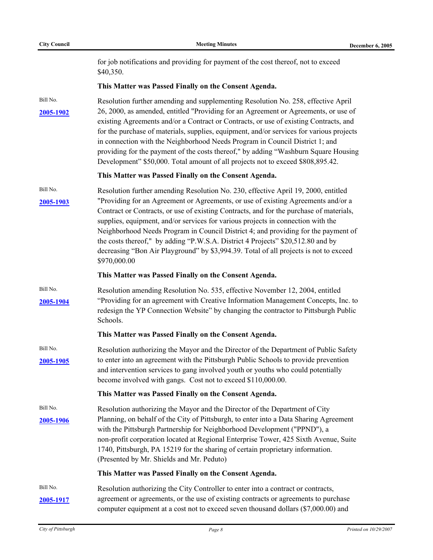for job notifications and providing for payment of the cost thereof, not to exceed \$40,350.

#### **This Matter was Passed Finally on the Consent Agenda.**

Bill No. **[2005-1902](http://legistar.city.pittsburgh.pa.us/detailreport//matter.aspx?key=7981)** Resolution further amending and supplementing Resolution No. 258, effective April 26, 2000, as amended, entitled "Providing for an Agreement or Agreements, or use of existing Agreements and/or a Contract or Contracts, or use of existing Contracts, and for the purchase of materials, supplies, equipment, and/or services for various projects in connection with the Neighborhood Needs Program in Council District 1; and providing for the payment of the costs thereof," by adding "Washburn Square Housing Development" \$50,000. Total amount of all projects not to exceed \$808,895.42.

#### **This Matter was Passed Finally on the Consent Agenda.**

Bill No. **[2005-1903](http://legistar.city.pittsburgh.pa.us/detailreport//matter.aspx?key=7982)** "Providing for an Agreement or Agreements, or use of existing Agreements and/or a Resolution further amending Resolution No. 230, effective April 19, 2000, entitled Contract or Contracts, or use of existing Contracts, and for the purchase of materials, supplies, equipment, and/or services for various projects in connection with the Neighborhood Needs Program in Council District 4; and providing for the payment of the costs thereof," by adding "P.W.S.A. District 4 Projects" \$20,512.80 and by decreasing "Bon Air Playground" by \$3,994.39. Total of all projects is not to exceed \$970,000.00

#### **This Matter was Passed Finally on the Consent Agenda.**

Bill No. **[2005-1904](http://legistar.city.pittsburgh.pa.us/detailreport//matter.aspx?key=7983)** "Providing for an agreement with Creative Information Management Concepts, Inc. to Resolution amending Resolution No. 535, effective November 12, 2004, entitled redesign the YP Connection Website" by changing the contractor to Pittsburgh Public Schools.

#### **This Matter was Passed Finally on the Consent Agenda.**

Bill No. **[2005-1905](http://legistar.city.pittsburgh.pa.us/detailreport//matter.aspx?key=7984)** to enter into an agreement with the Pittsburgh Public Schools to provide prevention Resolution authorizing the Mayor and the Director of the Department of Public Safety and intervention services to gang involved youth or youths who could potentially become involved with gangs. Cost not to exceed \$110,000.00.

#### **This Matter was Passed Finally on the Consent Agenda.**

Bill No. **[2005-1906](http://legistar.city.pittsburgh.pa.us/detailreport//matter.aspx?key=7985)** Planning, on behalf of the City of Pittsburgh, to enter into a Data Sharing Agreement Resolution authorizing the Mayor and the Director of the Department of City with the Pittsburgh Partnership for Neighborhood Development ("PPND"), a non-profit corporation located at Regional Enterprise Tower, 425 Sixth Avenue, Suite 1740, Pittsburgh, PA 15219 for the sharing of certain proprietary information. (Presented by Mr. Shields and Mr. Peduto)

#### **This Matter was Passed Finally on the Consent Agenda.**

Bill No. **[2005-1917](http://legistar.city.pittsburgh.pa.us/detailreport//matter.aspx?key=7996)** agreement or agreements, or the use of existing contracts or agreements to purchase Resolution authorizing the City Controller to enter into a contract or contracts, computer equipment at a cost not to exceed seven thousand dollars (\$7,000.00) and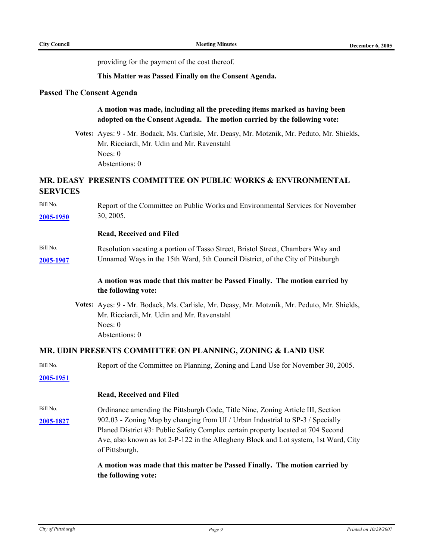providing for the payment of the cost thereof.

**This Matter was Passed Finally on the Consent Agenda.**

### **Passed The Consent Agenda**

### **A motion was made, including all the preceding items marked as having been adopted on the Consent Agenda. The motion carried by the following vote:**

**Votes:** Ayes: 9 - Mr. Bodack, Ms. Carlisle, Mr. Deasy, Mr. Motznik, Mr. Peduto, Mr. Shields, Mr. Ricciardi, Mr. Udin and Mr. Ravenstahl Noes: 0 Abstentions: 0

# **MR. DEASY PRESENTS COMMITTEE ON PUBLIC WORKS & ENVIRONMENTAL SERVICES**

Bill No. **[2005-1950](http://legistar.city.pittsburgh.pa.us/detailreport//matter.aspx?key=8031)** Report of the Committee on Public Works and Environmental Services for November 30, 2005.

#### **Read, Received and Filed**

#### Bill No. **[2005-1907](http://legistar.city.pittsburgh.pa.us/detailreport//matter.aspx?key=7986)** Unnamed Ways in the 15th Ward, 5th Council District, of the City of Pittsburgh Resolution vacating a portion of Tasso Street, Bristol Street, Chambers Way and

### **A motion was made that this matter be Passed Finally. The motion carried by the following vote:**

**Votes:** Ayes: 9 - Mr. Bodack, Ms. Carlisle, Mr. Deasy, Mr. Motznik, Mr. Peduto, Mr. Shields, Mr. Ricciardi, Mr. Udin and Mr. Ravenstahl Noes: 0 Abstentions: 0

#### **MR. UDIN PRESENTS COMMITTEE ON PLANNING, ZONING & LAND USE**

| Bill No. | Report of the Committee on Planning, Zoning and Land Use for November 30, 2005. |  |
|----------|---------------------------------------------------------------------------------|--|
|----------|---------------------------------------------------------------------------------|--|

**[2005-1951](http://legistar.city.pittsburgh.pa.us/detailreport//matter.aspx?key=8032)**

#### **Read, Received and Filed**

Bill No. **[2005-1827](http://legistar.city.pittsburgh.pa.us/detailreport//matter.aspx?key=7900)** 902.03 - Zoning Map by changing from UI / Urban Industrial to SP-3 / Specially Ordinance amending the Pittsburgh Code, Title Nine, Zoning Article III, Section Planed District #3: Public Safety Complex certain property located at 704 Second Ave, also known as lot 2-P-122 in the Allegheny Block and Lot system, 1st Ward, City of Pittsburgh.

### **A motion was made that this matter be Passed Finally. The motion carried by the following vote:**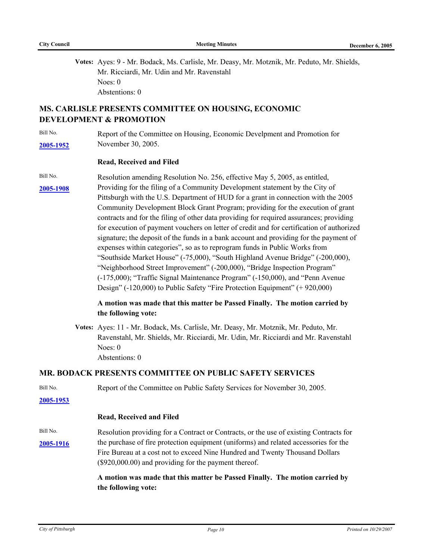**Votes:** Ayes: 9 - Mr. Bodack, Ms. Carlisle, Mr. Deasy, Mr. Motznik, Mr. Peduto, Mr. Shields, Mr. Ricciardi, Mr. Udin and Mr. Ravenstahl Noes: 0 Abstentions: 0

# **MS. CARLISLE PRESENTS COMMITTEE ON HOUSING, ECONOMIC DEVELOPMENT & PROMOTION**

Bill No. **[2005-1952](http://legistar.city.pittsburgh.pa.us/detailreport//matter.aspx?key=8033)** November 30, 2005. Report of the Committee on Housing, Economic Develpment and Promotion for

#### **Read, Received and Filed**

Bill No. **[2005-1908](http://legistar.city.pittsburgh.pa.us/detailreport//matter.aspx?key=7987)** Providing for the filing of a Community Development statement by the City of Resolution amending Resolution No. 256, effective May 5, 2005, as entitled, Pittsburgh with the U.S. Department of HUD for a grant in connection with the 2005 Community Development Block Grant Program; providing for the execution of grant contracts and for the filing of other data providing for required assurances; providing for execution of payment vouchers on letter of credit and for certification of authorized signature; the deposit of the funds in a bank account and providing for the payment of expenses within categories", so as to reprogram funds in Public Works from "Southside Market House" (-75,000), "South Highland Avenue Bridge" (-200,000), "Neighborhood Street Improvement" (-200,000), "Bridge Inspection Program" (-175,000); "Traffic Signal Maintenance Program" (-150,000), and "Penn Avenue Design" (-120,000) to Public Safety "Fire Protection Equipment" (+ 920,000)

### **A motion was made that this matter be Passed Finally. The motion carried by the following vote:**

**Votes:** Ayes: 11 - Mr. Bodack, Ms. Carlisle, Mr. Deasy, Mr. Motznik, Mr. Peduto, Mr. Ravenstahl, Mr. Shields, Mr. Ricciardi, Mr. Udin, Mr. Ricciardi and Mr. Ravenstahl Noes: 0 Abstentions: 0

### **MR. BODACK PRESENTS COMMITTEE ON PUBLIC SAFETY SERVICES**

Bill No. Report of the Committee on Public Safety Services for November 30, 2005.

**[2005-1953](http://legistar.city.pittsburgh.pa.us/detailreport//matter.aspx?key=8034)**

#### **Read, Received and Filed**

Bill No. [2005-1916](http://legistar.city.pittsburgh.pa.us/detailreport//matter.aspx?key=7995) the purchase of fire protection equipment (uniforms) and related accessories for the Resolution providing for a Contract or Contracts, or the use of existing Contracts for Fire Bureau at a cost not to exceed Nine Hundred and Twenty Thousand Dollars (\$920,000.00) and providing for the payment thereof.

# **A motion was made that this matter be Passed Finally. The motion carried by the following vote:**